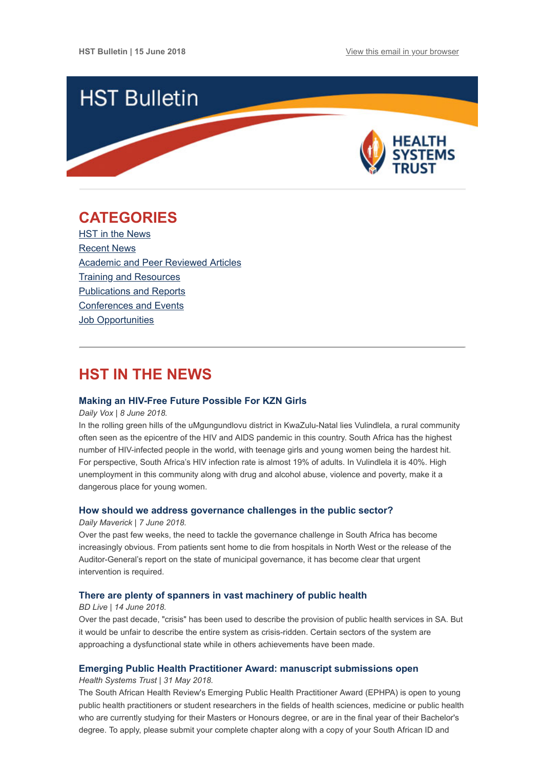

# <span id="page-0-0"></span>**CATEGORIES**

HST in the News [Recent News](#page-1-0) [Academic and Peer Reviewed Articles](#page-1-1) [Training and Resources](#page-3-0) [Publications and Reports](#page-3-1) [Conferences and Events](#page-3-2) **Job Opportunities** 

# **HST IN THE NEWS**

### **[Making an HIV-Free Future Possible For KZN Girls](http://www.thedailyvox.co.za/making-an-hiv-free-future-possible-for-kzn-girls-lizeka-maduna/?__twitter_impression=true)**

#### *Daily Vox | 8 June 2018.*

In the rolling green hills of the uMgungundlovu district in KwaZulu-Natal lies Vulindlela, a rural community often seen as the epicentre of the HIV and AIDS pandemic in this country. South Africa has the highest number of HIV-infected people in the world, with teenage girls and young women being the hardest hit. For perspective, South Africa's HIV infection rate is almost 19% of adults. In Vulindlela it is 40%. High unemployment in this community along with drug and alcohol abuse, violence and poverty, make it a dangerous place for young women.

### **[How should we address governance challenges in the public sector?](https://www.dailymaverick.co.za/opinionista/2018-06-07-how-should-we-address-governance-challenges-in-the-public-sector/#.WyJs_KczbIV)**

#### *Daily Maverick | 7 June 2018.*

Over the past few weeks, the need to tackle the governance challenge in South Africa has become increasingly obvious. From patients sent home to die from hospitals in North West or the release of the Auditor-General's report on the state of municipal governance, it has become clear that urgent intervention is required.

### **[There are plenty of spanners in vast machinery of public health](https://www.businesslive.co.za/bd/opinion/2018-06-14-there-are-plenty-of-spanners-in-vast-machinery-of-public-health/)**

#### *BD Live | 14 June 2018.*

Over the past decade, "crisis" has been used to describe the provision of public health services in SA. But it would be unfair to describe the entire system as crisis-ridden. Certain sectors of the system are approaching a dysfunctional state while in others achievements have been made.

### **[Emerging Public Health Practitioner Award: manuscript submissions open](http://www.hst.org.za/publications/Pages/2018-Emerging-Public-Health-Practitioner-Award.aspx)**

#### *Health Systems Trust | 31 May 2018.*

The South African Health Review's Emerging Public Health Practitioner Award (EPHPA) is open to young public health practitioners or student researchers in the fields of health sciences, medicine or public health who are currently studying for their Masters or Honours degree, or are in the final year of their Bachelor's degree. To apply, please submit your complete chapter along with a copy of your South African ID and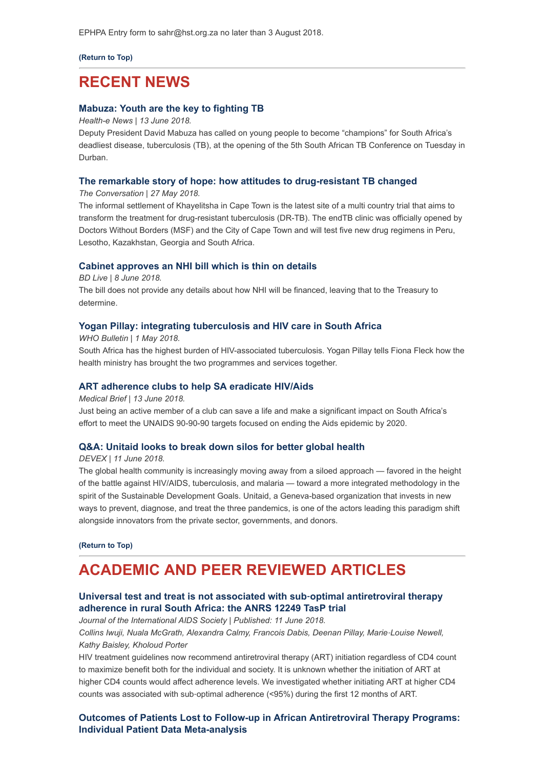EPHPA Entry form to sahr@hst.org.za no later than 3 August 2018.

**[\(Return to Top\)](#page-0-0)**

## <span id="page-1-0"></span>**RECENT NEWS**

### **[Mabuza: Youth are the key to fighting TB](https://www.health-e.org.za/2018/06/13/mabuza-youth-are-the-key-to-fighting-tb-sas-deadliest-disease/)**

*Health-e News | 13 June 2018.*

Deputy President David Mabuza has called on young people to become "champions" for South Africa's deadliest disease, tuberculosis (TB), at the opening of the 5th South African TB Conference on Tuesday in Durban.

#### **[The remarkable story of hope: how attitudes to drug-resistant TB changed](https://theconversation.com/the-remarkable-story-of-hope-how-attitudes-to-drug-resistant-tb-changed-96774)**

*The Conversation | 27 May 2018.* 

The informal settlement of Khayelitsha in Cape Town is the latest site of a multi country trial that aims to transform the treatment for drug-resistant tuberculosis (DR-TB). The endTB clinic was officially opened by Doctors Without Borders (MSF) and the City of Cape Town and will test five new drug regimens in Peru, Lesotho, Kazakhstan, Georgia and South Africa.

#### **[Cabinet approves an NHI bill which is thin on details](https://www.businesslive.co.za/bd/national/health/2018-06-08-cabinet-gives-nhi-bill-the-green-light/)**

*BD Live | 8 June 2018.*

The bill does not provide any details about how NHI will be financed, leaving that to the Treasury to determine.

### **[Yogan Pillay: integrating tuberculosis and HIV care in South Africa](http://www.who.int/bulletin/volumes/96/5/18-030518.pdf)**

*WHO Bulletin | 1 May 2018.*  South Africa has the highest burden of HIV-associated tuberculosis. Yogan Pillay tells Fiona Fleck how the health ministry has brought the two programmes and services together.

#### **[ART adherence clubs to help SA eradicate HIV/Aids](https://www.medicalbrief.co.za/archives/art-adherence-clubs-help-sa-eradicate-hivaids/)**

*Medical Brief | 13 June 2018.*

Just being an active member of a club can save a life and make a significant impact on South Africa's effort to meet the UNAIDS 90-90-90 targets focused on ending the Aids epidemic by 2020.

### **[Q&A: Unitaid looks to break down silos for better global health](https://www.devex.com/news/q-a-unitaid-looks-to-break-down-silos-for-better-global-health-92795?utm_source=Global+Health+NOW+Main+List&utm_campaign=a8057b839f-EMAIL_CAMPAIGN_2018_06_11_10_35&utm_medium=email&utm_term=0_8d0d062dbd-a8057b839f-2811001)**

*DEVEX | 11 June 2018.*

The global health community is increasingly moving away from a siloed approach — favored in the height of the battle against HIV/AIDS, tuberculosis, and malaria — toward a more integrated methodology in the spirit of the Sustainable Development Goals. Unitaid, a Geneva-based organization that invests in new ways to prevent, diagnose, and treat the three pandemics, is one of the actors leading this paradigm shift alongside innovators from the private sector, governments, and donors.

**[\(Return to Top\)](#page-0-0)**

# <span id="page-1-1"></span>**ACADEMIC AND PEER REVIEWED ARTICLES**

## **Universal test and treat is not associated with sub**‐**optimal antiretroviral therapy [adherence in rural South Africa: the ANRS 12249 TasP trial](https://onlinelibrary.wiley.com/doi/full/10.1002/jia2.25112)**

*Journal of the International AIDS Society | Published: 11 June 2018. Collins Iwuji, Nuala McGrath, Alexandra Calmy, Francois Dabis, Deenan Pillay, Marie*‐*Louise Newell, Kathy Baisley, Kholoud Porter*

HIV treatment guidelines now recommend antiretroviral therapy (ART) initiation regardless of CD4 count to maximize benefit both for the individual and society. It is unknown whether the initiation of ART at higher CD4 counts would affect adherence levels. We investigated whether initiating ART at higher CD4 counts was associated with sub‐optimal adherence (<95%) during the first 12 months of ART.

**[Outcomes of Patients Lost to Follow-up in African Antiretroviral Therapy Programs:](https://academic.oup.com/cid/advance-article/doi/10.1093/cid/ciy347/5034717) Individual Patient Data Meta-analysis**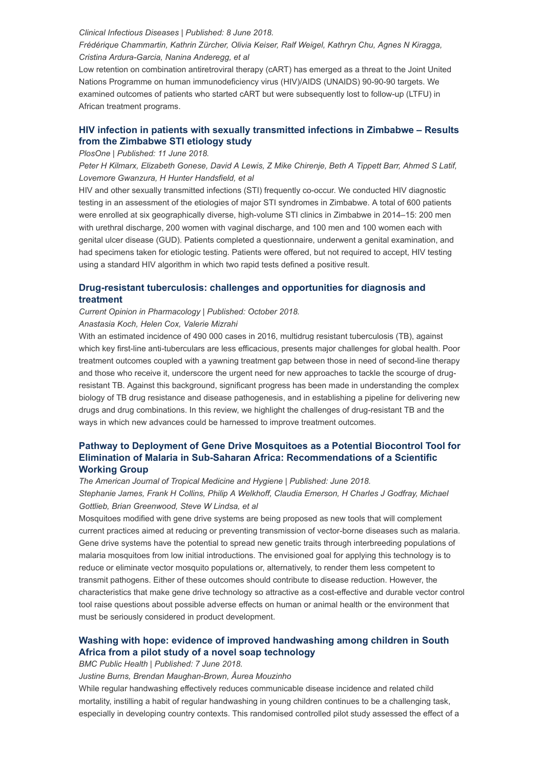#### *Clinical Infectious Diseases | Published: 8 June 2018.*

*Frédérique Chammartin, Kathrin Zürcher, Olivia Keiser, Ralf Weigel, Kathryn Chu, Agnes N Kiragga, Cristina Ardura-Garcia, Nanina Anderegg, et al*

Low retention on combination antiretroviral therapy (cART) has emerged as a threat to the Joint United Nations Programme on human immunodeficiency virus (HIV)/AIDS (UNAIDS) 90-90-90 targets. We examined outcomes of patients who started cART but were subsequently lost to follow-up (LTFU) in African treatment programs.

## **[HIV infection in patients with sexually transmitted infections in Zimbabwe – Results](http://journals.plos.org/plosone/article?id=10.1371/journal.pone.0198683) from the Zimbabwe STI etiology study**

### *PlosOne | Published: 11 June 2018.*

*Peter H Kilmarx, Elizabeth Gonese, David A Lewis, Z Mike Chirenje, Beth A Tippett Barr, Ahmed S Latif, Lovemore Gwanzura, H Hunter Handsfield, et al*

HIV and other sexually transmitted infections (STI) frequently co-occur. We conducted HIV diagnostic testing in an assessment of the etiologies of major STI syndromes in Zimbabwe. A total of 600 patients were enrolled at six geographically diverse, high-volume STI clinics in Zimbabwe in 2014–15: 200 men with urethral discharge, 200 women with vaginal discharge, and 100 men and 100 women each with genital ulcer disease (GUD). Patients completed a questionnaire, underwent a genital examination, and had specimens taken for etiologic testing. Patients were offered, but not required to accept, HIV testing using a standard HIV algorithm in which two rapid tests defined a positive result.

### **[Drug-resistant tuberculosis: challenges and opportunities for diagnosis and](https://www.sciencedirect.com/science/article/pii/S1471489217301571?via%3Dihub) treatment**

*Current Opinion in Pharmacology | Published: October 2018.*

### *Anastasia Koch, Helen Cox, Valerie Mizrahi*

With an estimated incidence of 490 000 cases in 2016, multidrug resistant tuberculosis (TB), against which key first-line anti-tuberculars are less efficacious, presents major challenges for global health. Poor treatment outcomes coupled with a yawning treatment gap between those in need of second-line therapy and those who receive it, underscore the urgent need for new approaches to tackle the scourge of drugresistant TB. Against this background, significant progress has been made in understanding the complex biology of TB drug resistance and disease pathogenesis, and in establishing a pipeline for delivering new drugs and drug combinations. In this review, we highlight the challenges of drug-resistant TB and the ways in which new advances could be harnessed to improve treatment outcomes.

## **[Pathway to Deployment of Gene Drive Mosquitoes as a Potential Biocontrol Tool for](http://www.ajtmh.org/content/journals/10.4269/ajtmh.18-0083#html_fulltext) Elimination of Malaria in Sub-Saharan Africa: Recommendations of a Scientific Working Group**

*The American Journal of Tropical Medicine and Hygiene | Published: June 2018. Stephanie James, Frank H Collins, Philip A Welkhoff, Claudia Emerson, H Charles J Godfray, Michael Gottlieb, Brian Greenwood, Steve W Lindsa, et al*

Mosquitoes modified with gene drive systems are being proposed as new tools that will complement current practices aimed at reducing or preventing transmission of vector-borne diseases such as malaria. Gene drive systems have the potential to spread new genetic traits through interbreeding populations of malaria mosquitoes from low initial introductions. The envisioned goal for applying this technology is to reduce or eliminate vector mosquito populations or, alternatively, to render them less competent to transmit pathogens. Either of these outcomes should contribute to disease reduction. However, the characteristics that make gene drive technology so attractive as a cost-effective and durable vector control tool raise questions about possible adverse effects on human or animal health or the environment that must be seriously considered in product development.

### **[Washing with hope: evidence of improved handwashing among children in South](https://bmcpublichealth.biomedcentral.com/articles/10.1186/s12889-018-5573-8) Africa from a pilot study of a novel soap technology**

### *BMC Public Health | Published: 7 June 2018.*

*Justine Burns, Brendan Maughan-Brown, Âurea Mouzinho*

While regular handwashing effectively reduces communicable disease incidence and related child mortality, instilling a habit of regular handwashing in young children continues to be a challenging task, especially in developing country contexts. This randomised controlled pilot study assessed the effect of a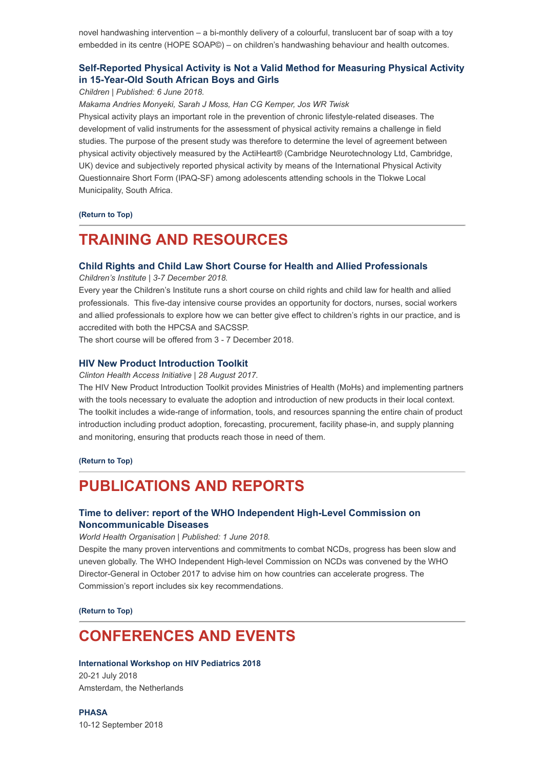novel handwashing intervention – a bi-monthly delivery of a colourful, translucent bar of soap with a toy embedded in its centre (HOPE SOAP©) – on children's handwashing behaviour and health outcomes.

## **[Self-Reported Physical Activity is Not a Valid Method for Measuring Physical Activity](http://www.mdpi.com/2227-9067/5/6/71/htm) in 15-Year-Old South African Boys and Girls**

#### *Children | Published: 6 June 2018.*

*Makama Andries Monyeki, Sarah J Moss, Han CG Kemper, Jos WR Twisk*

Physical activity plays an important role in the prevention of chronic lifestyle-related diseases. The development of valid instruments for the assessment of physical activity remains a challenge in field studies. The purpose of the present study was therefore to determine the level of agreement between physical activity objectively measured by the ActiHeart® (Cambridge Neurotechnology Ltd, Cambridge, UK) device and subjectively reported physical activity by means of the International Physical Activity Questionnaire Short Form (IPAQ-SF) among adolescents attending schools in the Tlokwe Local Municipality, South Africa.

### **[\(Return to Top\)](#page-0-0)**

# <span id="page-3-0"></span>**TRAINING AND RESOURCES**

#### **[Child Rights and Child Law Short Course for Health and Allied Professionals](http://www.ci.uct.ac.za/)**

*Children's Institute | 3-7 December 2018.*

Every year the Children's Institute runs a short course on child rights and child law for health and allied professionals. This five-day intensive course provides an opportunity for doctors, nurses, social workers and allied professionals to explore how we can better give effect to children's rights in our practice, and is accredited with both the HPCSA and SACSSP.

The short course will be offered from 3 - 7 December 2018.

### **[HIV New Product Introduction Toolkit](https://www.newhivdrugs.org/)**

*Clinton Health Access Initiative | 28 August 2017.*

The HIV New Product Introduction Toolkit provides Ministries of Health (MoHs) and implementing partners with the tools necessary to evaluate the adoption and introduction of new products in their local context. The toolkit includes a wide-range of information, tools, and resources spanning the entire chain of product introduction including product adoption, forecasting, procurement, facility phase-in, and supply planning and monitoring, ensuring that products reach those in need of them.

**[\(Return to Top\)](#page-0-0)**

# <span id="page-3-1"></span>**PUBLICATIONS AND REPORTS**

## **[Time to deliver: report of the WHO Independent High-Level Commission on](http://apps.who.int/iris/bitstream/handle/10665/272710/9789241514163-eng.pdf?ua=1) Noncommunicable Diseases**

#### *World Health Organisation | Published: 1 June 2018.*

Despite the many proven interventions and commitments to combat NCDs, progress has been slow and uneven globally. The WHO Independent High-level Commission on NCDs was convened by the WHO Director-General in October 2017 to advise him on how countries can accelerate progress. The Commission's report includes six key recommendations.

**[\(Return to Top\)](#page-0-0)**

## <span id="page-3-2"></span>**CONFERENCES AND EVENTS**

#### **[International Workshop on HIV Pediatrics 2018](http://www.virology-education.com/event/upcoming/10th-workshop-hiv-pediatrics/)**

20-21 July 2018 Amsterdam, the Netherlands

**[PHASA](https://confco.eventsair.com/QuickEventWebsitePortal/phasa-conference-2018/event-info-site)** 10-12 September 2018